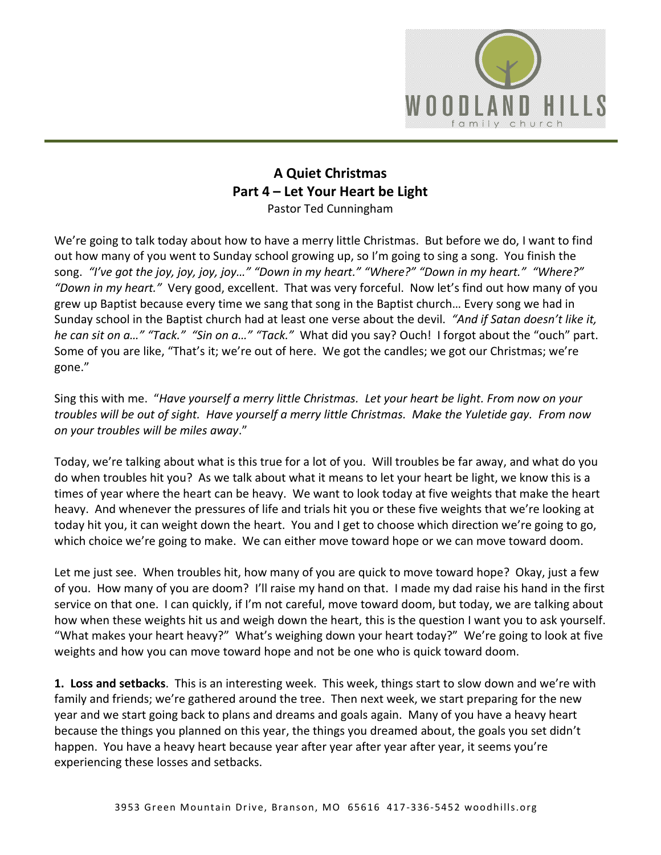

## **A Quiet Christmas Part 4 – Let Your Heart be Light** Pastor Ted Cunningham

We're going to talk today about how to have a merry little Christmas. But before we do, I want to find out how many of you went to Sunday school growing up, so I'm going to sing a song. You finish the song. "I've got the joy, joy, joy, joy..." "Down in my heart." "Where?" "Down in my heart." "Where?" *"Down in my heart."* Very good, excellent. That was very forceful. Now let's find out how many of you grew up Baptist because every time we sang that song in the Baptist church… Every song we had in Sunday school in the Baptist church had at least one verse about the devil. *"And if Satan doesn't like it, he can sit on a…" "Tack." "Sin on a…" "Tack."* What did you say? Ouch! I forgot about the "ouch" part. Some of you are like, "That's it; we're out of here. We got the candles; we got our Christmas; we're gone."

Sing this with me. "*Have yourself a merry little Christmas. Let your heart be light. From now on your troubles will be out of sight. Have yourself a merry little Christmas. Make the Yuletide gay. From now on your troubles will be miles away*."

Today, we're talking about what is this true for a lot of you. Will troubles be far away, and what do you do when troubles hit you? As we talk about what it means to let your heart be light, we know this is a times of year where the heart can be heavy. We want to look today at five weights that make the heart heavy. And whenever the pressures of life and trials hit you or these five weights that we're looking at today hit you, it can weight down the heart. You and I get to choose which direction we're going to go, which choice we're going to make. We can either move toward hope or we can move toward doom.

Let me just see. When troubles hit, how many of you are quick to move toward hope? Okay, just a few of you. How many of you are doom? I'll raise my hand on that. I made my dad raise his hand in the first service on that one. I can quickly, if I'm not careful, move toward doom, but today, we are talking about how when these weights hit us and weigh down the heart, this is the question I want you to ask yourself. "What makes your heart heavy?" What's weighing down your heart today?" We're going to look at five weights and how you can move toward hope and not be one who is quick toward doom.

**1. Loss and setbacks**. This is an interesting week. This week, things start to slow down and we're with family and friends; we're gathered around the tree. Then next week, we start preparing for the new year and we start going back to plans and dreams and goals again. Many of you have a heavy heart because the things you planned on this year, the things you dreamed about, the goals you set didn't happen. You have a heavy heart because year after year after year after year, it seems you're experiencing these losses and setbacks.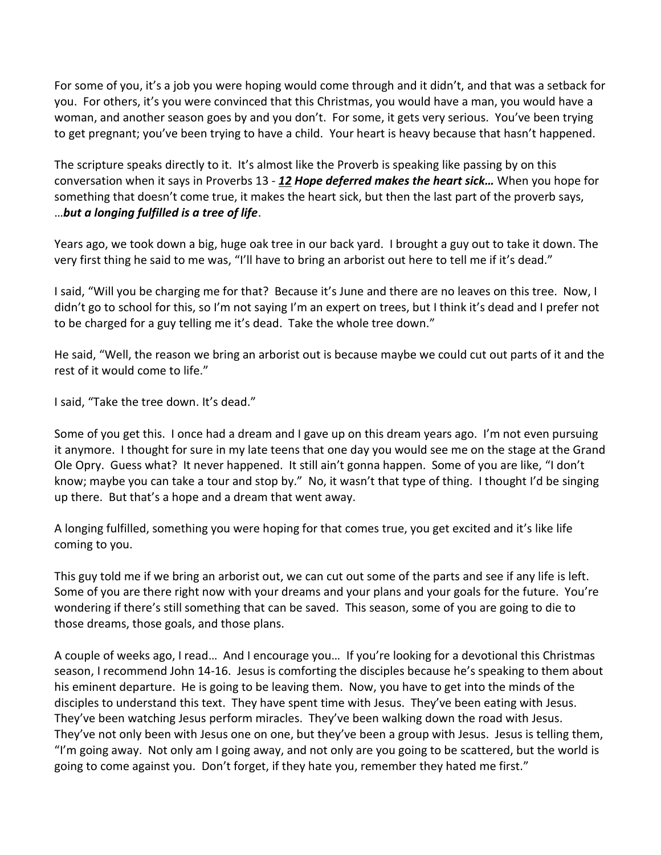For some of you, it's a job you were hoping would come through and it didn't, and that was a setback for you. For others, it's you were convinced that this Christmas, you would have a man, you would have a woman, and another season goes by and you don't. For some, it gets very serious. You've been trying to get pregnant; you've been trying to have a child. Your heart is heavy because that hasn't happened.

The scripture speaks directly to it. It's almost like the Proverb is speaking like passing by on this conversation when it says in Proverbs 13 - *[12](https://www.studylight.org/desk/?q=pr%2013:12&t1=en_niv&sr=1) Hope deferred makes the heart sick…* When you hope for something that doesn't come true, it makes the heart sick, but then the last part of the proverb says, …*but a longing fulfilled is a tree of life*.

Years ago, we took down a big, huge oak tree in our back yard. I brought a guy out to take it down. The very first thing he said to me was, "I'll have to bring an arborist out here to tell me if it's dead."

I said, "Will you be charging me for that? Because it's June and there are no leaves on this tree. Now, I didn't go to school for this, so I'm not saying I'm an expert on trees, but I think it's dead and I prefer not to be charged for a guy telling me it's dead. Take the whole tree down."

He said, "Well, the reason we bring an arborist out is because maybe we could cut out parts of it and the rest of it would come to life."

I said, "Take the tree down. It's dead."

Some of you get this. I once had a dream and I gave up on this dream years ago. I'm not even pursuing it anymore. I thought for sure in my late teens that one day you would see me on the stage at the Grand Ole Opry. Guess what? It never happened. It still ain't gonna happen. Some of you are like, "I don't know; maybe you can take a tour and stop by." No, it wasn't that type of thing. I thought I'd be singing up there. But that's a hope and a dream that went away.

A longing fulfilled, something you were hoping for that comes true, you get excited and it's like life coming to you.

This guy told me if we bring an arborist out, we can cut out some of the parts and see if any life is left. Some of you are there right now with your dreams and your plans and your goals for the future. You're wondering if there's still something that can be saved. This season, some of you are going to die to those dreams, those goals, and those plans.

A couple of weeks ago, I read… And I encourage you… If you're looking for a devotional this Christmas season, I recommend John 14-16. Jesus is comforting the disciples because he's speaking to them about his eminent departure. He is going to be leaving them. Now, you have to get into the minds of the disciples to understand this text. They have spent time with Jesus. They've been eating with Jesus. They've been watching Jesus perform miracles. They've been walking down the road with Jesus. They've not only been with Jesus one on one, but they've been a group with Jesus. Jesus is telling them, "I'm going away. Not only am I going away, and not only are you going to be scattered, but the world is going to come against you. Don't forget, if they hate you, remember they hated me first."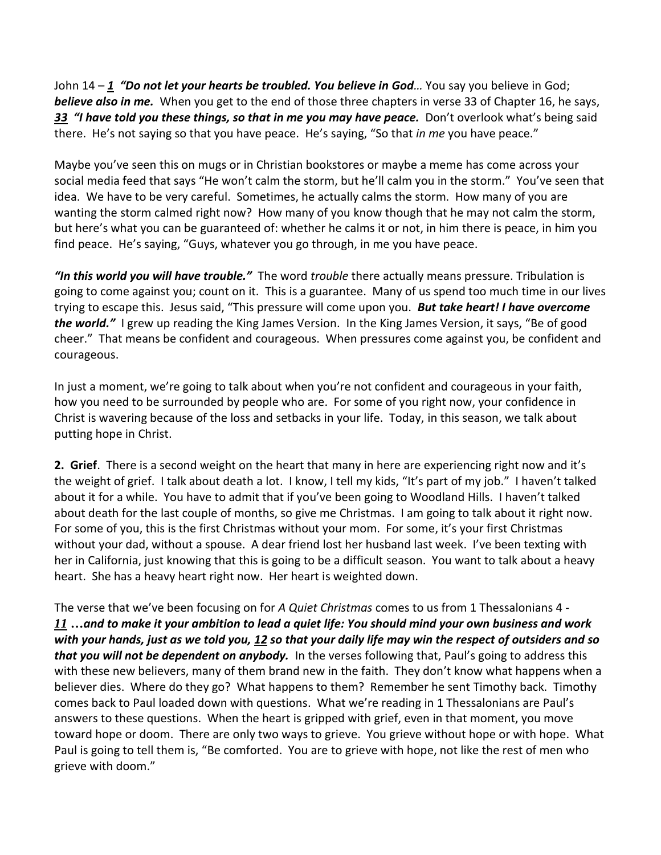John 14 – *[1](https://www.studylight.org/desk/?q=joh%2014:1&t1=en_niv&sr=1) "Do not let your hearts be troubled. You believe in God…* You say you believe in God; *believe also in me.* When you get to the end of those three chapters in verse 33 of Chapter 16, he says, *[33](https://www.studylight.org/desk/?q=joh%2016:33&t1=en_niv&sr=1) "I have told you these things, so that in me you may have peace.* Don't overlook what's being said there. He's not saying so that you have peace. He's saying, "So that *in me* you have peace."

Maybe you've seen this on mugs or in Christian bookstores or maybe a meme has come across your social media feed that says "He won't calm the storm, but he'll calm you in the storm." You've seen that idea. We have to be very careful. Sometimes, he actually calms the storm. How many of you are wanting the storm calmed right now? How many of you know though that he may not calm the storm, but here's what you can be guaranteed of: whether he calms it or not, in him there is peace, in him you find peace. He's saying, "Guys, whatever you go through, in me you have peace.

*"In this world you will have trouble."* The word *trouble* there actually means pressure. Tribulation is going to come against you; count on it. This is a guarantee. Many of us spend too much time in our lives trying to escape this. Jesus said, "This pressure will come upon you. *But take heart! I have overcome the world."* I grew up reading the King James Version. In the King James Version, it says, "Be of good cheer." That means be confident and courageous. When pressures come against you, be confident and courageous.

In just a moment, we're going to talk about when you're not confident and courageous in your faith, how you need to be surrounded by people who are. For some of you right now, your confidence in Christ is wavering because of the loss and setbacks in your life. Today, in this season, we talk about putting hope in Christ.

**2. Grief**. There is a second weight on the heart that many in here are experiencing right now and it's the weight of grief. I talk about death a lot. I know, I tell my kids, "It's part of my job." I haven't talked about it for a while. You have to admit that if you've been going to Woodland Hills. I haven't talked about death for the last couple of months, so give me Christmas. I am going to talk about it right now. For some of you, this is the first Christmas without your mom. For some, it's your first Christmas without your dad, without a spouse. A dear friend lost her husband last week. I've been texting with her in California, just knowing that this is going to be a difficult season. You want to talk about a heavy heart. She has a heavy heart right now. Her heart is weighted down.

The verse that we've been focusing on for *A Quiet Christmas* comes to us from 1 Thessalonians 4 - *[11](https://www.studylight.org/desk/?q=1th%204:11&t1=en_niv&sr=1) …and to make it your ambition to lead a quiet life: You should mind your own business and work with your hands, just as we told you, [12](https://www.studylight.org/desk/?q=1th%204:12&t1=en_niv&sr=1) so that your daily life may win the respect of outsiders and so that you will not be dependent on anybody.* In the verses following that, Paul's going to address this with these new believers, many of them brand new in the faith. They don't know what happens when a believer dies. Where do they go? What happens to them? Remember he sent Timothy back. Timothy comes back to Paul loaded down with questions. What we're reading in 1 Thessalonians are Paul's answers to these questions. When the heart is gripped with grief, even in that moment, you move toward hope or doom. There are only two ways to grieve. You grieve without hope or with hope. What Paul is going to tell them is, "Be comforted. You are to grieve with hope, not like the rest of men who grieve with doom."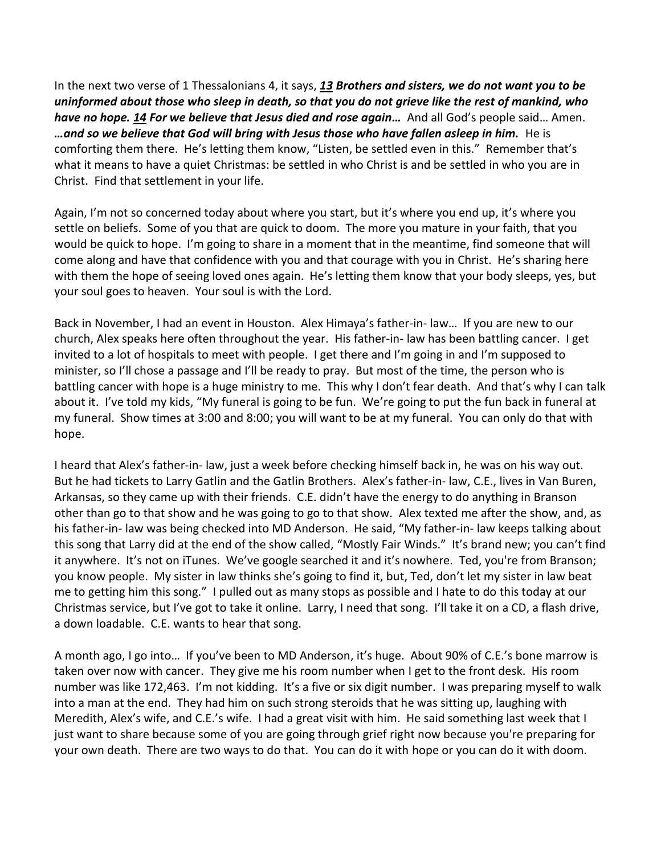In the next two verse of 1 Thessalonians 4, it says, *[13](https://www.studylight.org/desk/?q=1th%204:13&t1=en_niv&sr=1) Brothers and sisters, we do not want you to be uninformed about those who sleep in death, so that you do not grieve like the rest of mankind, who have no hope. [14](https://www.studylight.org/desk/?q=1th%204:14&t1=en_niv&sr=1) For we believe that Jesus died and rose again…* And all God's people said… Amen. *…and so we believe that God will bring with Jesus those who have fallen asleep in him.* He is comforting them there. He's letting them know, "Listen, be settled even in this." Remember that's what it means to have a quiet Christmas: be settled in who Christ is and be settled in who you are in Christ. Find that settlement in your life.

Again, I'm not so concerned today about where you start, but it's where you end up, it's where you settle on beliefs. Some of you that are quick to doom. The more you mature in your faith, that you would be quick to hope. I'm going to share in a moment that in the meantime, find someone that will come along and have that confidence with you and that courage with you in Christ. He's sharing here with them the hope of seeing loved ones again. He's letting them know that your body sleeps, yes, but your soul goes to heaven. Your soul is with the Lord.

Back in November, I had an event in Houston. Alex Himaya's father-in- law… If you are new to our church, Alex speaks here often throughout the year. His father-in- law has been battling cancer. I get invited to a lot of hospitals to meet with people. I get there and I'm going in and I'm supposed to minister, so I'll chose a passage and I'll be ready to pray. But most of the time, the person who is battling cancer with hope is a huge ministry to me. This why I don't fear death. And that's why I can talk about it. I've told my kids, "My funeral is going to be fun. We're going to put the fun back in funeral at my funeral. Show times at 3:00 and 8:00; you will want to be at my funeral. You can only do that with hope.

I heard that Alex's father-in- law, just a week before checking himself back in, he was on his way out. But he had tickets to Larry Gatlin and the Gatlin Brothers. Alex's father-in- law, C.E., lives in Van Buren, Arkansas, so they came up with their friends. C.E. didn't have the energy to do anything in Branson other than go to that show and he was going to go to that show. Alex texted me after the show, and, as his father-in- law was being checked into MD Anderson. He said, "My father-in- law keeps talking about this song that Larry did at the end of the show called, "Mostly Fair Winds." It's brand new; you can't find it anywhere. It's not on iTunes. We've google searched it and it's nowhere. Ted, you're from Branson; you know people. My sister in law thinks she's going to find it, but, Ted, don't let my sister in law beat me to getting him this song." I pulled out as many stops as possible and I hate to do this today at our Christmas service, but I've got to take it online. Larry, I need that song. I'll take it on a CD, a flash drive, a down loadable. C.E. wants to hear that song.

A month ago, I go into… If you've been to MD Anderson, it's huge. About 90% of C.E.'s bone marrow is taken over now with cancer. They give me his room number when I get to the front desk. His room number was like 172,463. I'm not kidding. It's a five or six digit number. I was preparing myself to walk into a man at the end. They had him on such strong steroids that he was sitting up, laughing with Meredith, Alex's wife, and C.E.'s wife. I had a great visit with him. He said something last week that I just want to share because some of you are going through grief right now because you're preparing for your own death. There are two ways to do that. You can do it with hope or you can do it with doom.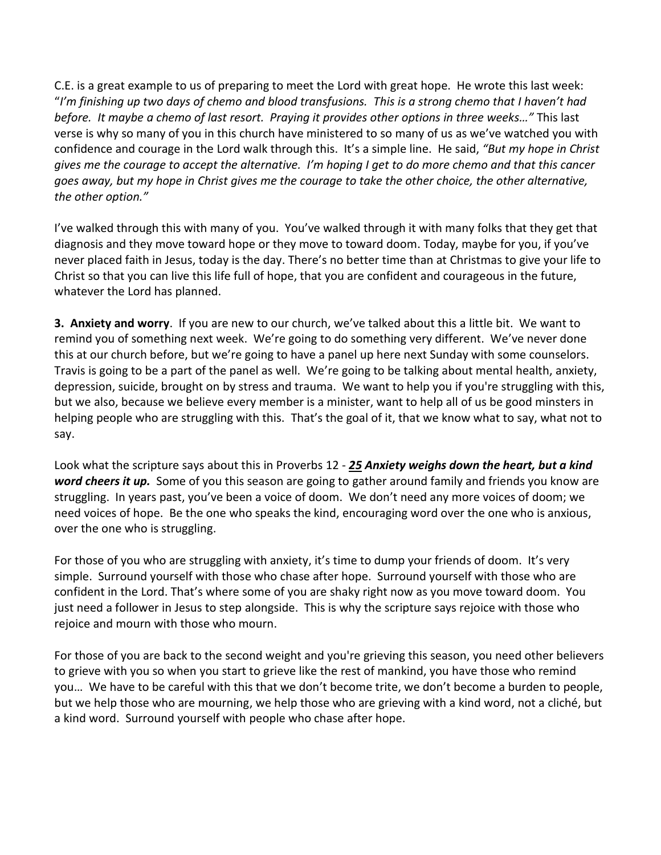C.E. is a great example to us of preparing to meet the Lord with great hope. He wrote this last week: "*I'm finishing up two days of chemo and blood transfusions. This is a strong chemo that I haven't had before. It maybe a chemo of last resort. Praying it provides other options in three weeks…"* This last verse is why so many of you in this church have ministered to so many of us as we've watched you with confidence and courage in the Lord walk through this. It's a simple line. He said, *"But my hope in Christ gives me the courage to accept the alternative. I'm hoping I get to do more chemo and that this cancer goes away, but my hope in Christ gives me the courage to take the other choice, the other alternative, the other option."*

I've walked through this with many of you. You've walked through it with many folks that they get that diagnosis and they move toward hope or they move to toward doom. Today, maybe for you, if you've never placed faith in Jesus, today is the day. There's no better time than at Christmas to give your life to Christ so that you can live this life full of hope, that you are confident and courageous in the future, whatever the Lord has planned.

**3. Anxiety and worry**. If you are new to our church, we've talked about this a little bit. We want to remind you of something next week. We're going to do something very different. We've never done this at our church before, but we're going to have a panel up here next Sunday with some counselors. Travis is going to be a part of the panel as well. We're going to be talking about mental health, anxiety, depression, suicide, brought on by stress and trauma. We want to help you if you're struggling with this, but we also, because we believe every member is a minister, want to help all of us be good minsters in helping people who are struggling with this. That's the goal of it, that we know what to say, what not to say.

Look what the scripture says about this in Proverbs 12 - *[25](https://www.studylight.org/desk/?q=pr%2012:25&t1=en_niv&sr=1) Anxiety weighs down the heart, but a kind word cheers it up.* Some of you this season are going to gather around family and friends you know are struggling. In years past, you've been a voice of doom. We don't need any more voices of doom; we need voices of hope. Be the one who speaks the kind, encouraging word over the one who is anxious, over the one who is struggling.

For those of you who are struggling with anxiety, it's time to dump your friends of doom. It's very simple. Surround yourself with those who chase after hope. Surround yourself with those who are confident in the Lord. That's where some of you are shaky right now as you move toward doom. You just need a follower in Jesus to step alongside. This is why the scripture says rejoice with those who rejoice and mourn with those who mourn.

For those of you are back to the second weight and you're grieving this season, you need other believers to grieve with you so when you start to grieve like the rest of mankind, you have those who remind you… We have to be careful with this that we don't become trite, we don't become a burden to people, but we help those who are mourning, we help those who are grieving with a kind word, not a cliché, but a kind word. Surround yourself with people who chase after hope.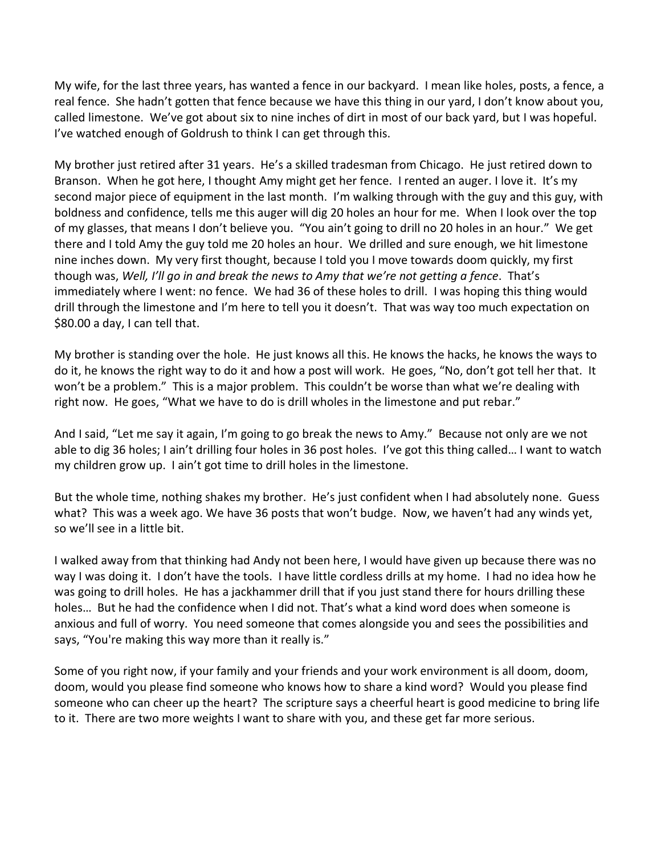My wife, for the last three years, has wanted a fence in our backyard. I mean like holes, posts, a fence, a real fence. She hadn't gotten that fence because we have this thing in our yard, I don't know about you, called limestone. We've got about six to nine inches of dirt in most of our back yard, but I was hopeful. I've watched enough of Goldrush to think I can get through this.

My brother just retired after 31 years. He's a skilled tradesman from Chicago. He just retired down to Branson. When he got here, I thought Amy might get her fence. I rented an auger. I love it. It's my second major piece of equipment in the last month. I'm walking through with the guy and this guy, with boldness and confidence, tells me this auger will dig 20 holes an hour for me. When I look over the top of my glasses, that means I don't believe you. "You ain't going to drill no 20 holes in an hour." We get there and I told Amy the guy told me 20 holes an hour. We drilled and sure enough, we hit limestone nine inches down. My very first thought, because I told you I move towards doom quickly, my first though was, *Well, I'll go in and break the news to Amy that we're not getting a fence*. That's immediately where I went: no fence. We had 36 of these holes to drill. I was hoping this thing would drill through the limestone and I'm here to tell you it doesn't. That was way too much expectation on \$80.00 a day, I can tell that.

My brother is standing over the hole. He just knows all this. He knows the hacks, he knows the ways to do it, he knows the right way to do it and how a post will work. He goes, "No, don't got tell her that. It won't be a problem." This is a major problem. This couldn't be worse than what we're dealing with right now. He goes, "What we have to do is drill wholes in the limestone and put rebar."

And I said, "Let me say it again, I'm going to go break the news to Amy." Because not only are we not able to dig 36 holes; I ain't drilling four holes in 36 post holes. I've got this thing called… I want to watch my children grow up. I ain't got time to drill holes in the limestone.

But the whole time, nothing shakes my brother. He's just confident when I had absolutely none. Guess what? This was a week ago. We have 36 posts that won't budge. Now, we haven't had any winds yet, so we'll see in a little bit.

I walked away from that thinking had Andy not been here, I would have given up because there was no way I was doing it. I don't have the tools. I have little cordless drills at my home. I had no idea how he was going to drill holes. He has a jackhammer drill that if you just stand there for hours drilling these holes… But he had the confidence when I did not. That's what a kind word does when someone is anxious and full of worry. You need someone that comes alongside you and sees the possibilities and says, "You're making this way more than it really is."

Some of you right now, if your family and your friends and your work environment is all doom, doom, doom, would you please find someone who knows how to share a kind word? Would you please find someone who can cheer up the heart? The scripture says a cheerful heart is good medicine to bring life to it. There are two more weights I want to share with you, and these get far more serious.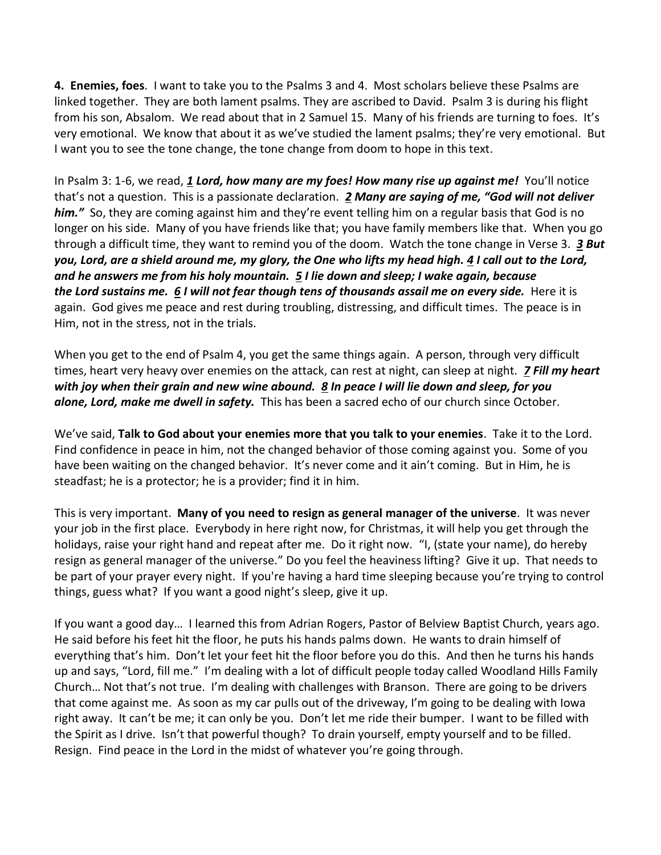**4. Enemies, foes**. I want to take you to the Psalms 3 and 4. Most scholars believe these Psalms are linked together. They are both lament psalms. They are ascribed to David. Psalm 3 is during his flight from his son, Absalom. We read about that in 2 Samuel 15. Many of his friends are turning to foes. It's very emotional. We know that about it as we've studied the lament psalms; they're very emotional. But I want you to see the tone change, the tone change from doom to hope in this text.

In Psalm 3: 1-6, we read, *[1](https://www.studylight.org/desk/?q=ps%203:1&t1=en_niv&sr=1) Lord, how many are my foes! How many rise up against me!* You'll notice that's not a question. This is a passionate declaration. *[2](https://www.studylight.org/desk/?q=ps%203:2&t1=en_niv&sr=1) Many are saying of me, "God will not deliver*  him." So, they are coming against him and they're event telling him on a regular basis that God is no longer on his side. Many of you have friends like that; you have family members like that. When you go through a difficult time, they want to remind you of the doom. Watch the tone change in Verse 3. *[3](https://www.studylight.org/desk/?q=ps%203:3&t1=en_niv&sr=1) But you, Lord, are a shield around me, my glory, the One who lifts my head high. [4](https://www.studylight.org/desk/?q=ps%203:4&t1=en_niv&sr=1) I call out to the Lord, and he answers me from his holy mountain. [5](https://www.studylight.org/desk/?q=ps%203:5&t1=en_niv&sr=1) I lie down and sleep; I wake again, because the Lord sustains me. [6](https://www.studylight.org/desk/?q=ps%203:6&t1=en_niv&sr=1) I will not fear though tens of thousands assail me on every side.*Here it is again. God gives me peace and rest during troubling, distressing, and difficult times. The peace is in Him, not in the stress, not in the trials.

When you get to the end of Psalm 4, you get the same things again. A person, through very difficult times, heart very heavy over enemies on the attack, can rest at night, can sleep at night. *[7](https://www.studylight.org/desk/?q=ps%204:7&t1=en_niv&sr=1) Fill my heart with joy when their grain and new wine abound. [8](https://www.studylight.org/desk/?q=ps%204:8&t1=en_niv&sr=1) In peace I will lie down and sleep, for you alone, Lord, make me dwell in safety.* This has been a sacred echo of our church since October.

We've said, **Talk to God about your enemies more that you talk to your enemies**. Take it to the Lord. Find confidence in peace in him, not the changed behavior of those coming against you. Some of you have been waiting on the changed behavior. It's never come and it ain't coming. But in Him, he is steadfast; he is a protector; he is a provider; find it in him.

This is very important. **Many of you need to resign as general manager of the universe**. It was never your job in the first place. Everybody in here right now, for Christmas, it will help you get through the holidays, raise your right hand and repeat after me. Do it right now. "I, (state your name), do hereby resign as general manager of the universe." Do you feel the heaviness lifting? Give it up. That needs to be part of your prayer every night. If you're having a hard time sleeping because you're trying to control things, guess what? If you want a good night's sleep, give it up.

If you want a good day… I learned this from Adrian Rogers, Pastor of Belview Baptist Church, years ago. He said before his feet hit the floor, he puts his hands palms down. He wants to drain himself of everything that's him. Don't let your feet hit the floor before you do this. And then he turns his hands up and says, "Lord, fill me." I'm dealing with a lot of difficult people today called Woodland Hills Family Church… Not that's not true. I'm dealing with challenges with Branson. There are going to be drivers that come against me. As soon as my car pulls out of the driveway, I'm going to be dealing with Iowa right away. It can't be me; it can only be you. Don't let me ride their bumper. I want to be filled with the Spirit as I drive. Isn't that powerful though? To drain yourself, empty yourself and to be filled. Resign. Find peace in the Lord in the midst of whatever you're going through.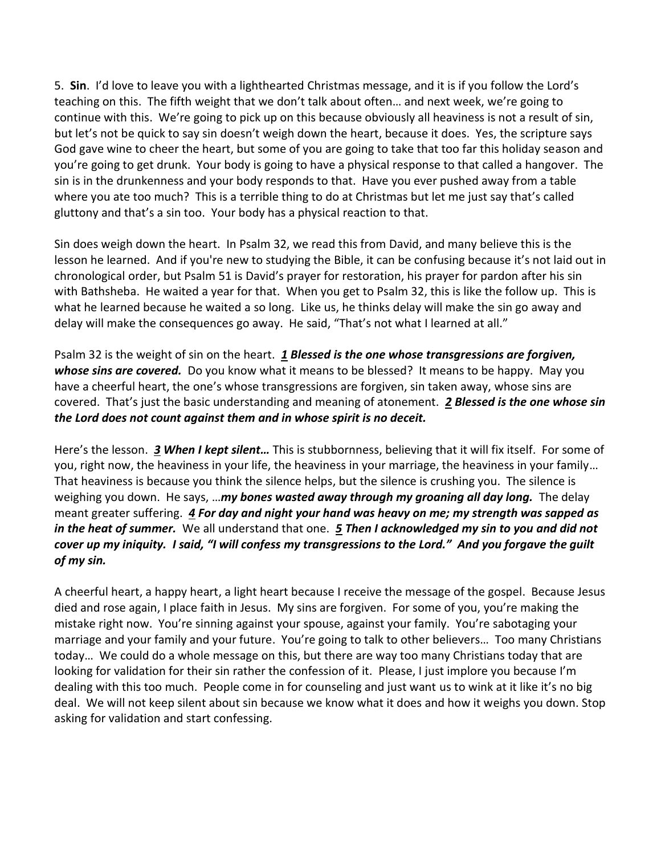5. **Sin**. I'd love to leave you with a lighthearted Christmas message, and it is if you follow the Lord's teaching on this. The fifth weight that we don't talk about often… and next week, we're going to continue with this. We're going to pick up on this because obviously all heaviness is not a result of sin, but let's not be quick to say sin doesn't weigh down the heart, because it does. Yes, the scripture says God gave wine to cheer the heart, but some of you are going to take that too far this holiday season and you're going to get drunk. Your body is going to have a physical response to that called a hangover. The sin is in the drunkenness and your body responds to that. Have you ever pushed away from a table where you ate too much? This is a terrible thing to do at Christmas but let me just say that's called gluttony and that's a sin too. Your body has a physical reaction to that.

Sin does weigh down the heart. In Psalm 32, we read this from David, and many believe this is the lesson he learned. And if you're new to studying the Bible, it can be confusing because it's not laid out in chronological order, but Psalm 51 is David's prayer for restoration, his prayer for pardon after his sin with Bathsheba. He waited a year for that. When you get to Psalm 32, this is like the follow up. This is what he learned because he waited a so long. Like us, he thinks delay will make the sin go away and delay will make the consequences go away. He said, "That's not what I learned at all."

Psalm 32 is the weight of sin on the heart. *[1](https://www.studylight.org/desk/?q=ps%2032:1&t1=en_niv&sr=1) Blessed is the one whose transgressions are forgiven, whose sins are covered.* Do you know what it means to be blessed? It means to be happy. May you have a cheerful heart, the one's whose transgressions are forgiven, sin taken away, whose sins are covered. That's just the basic understanding and meaning of atonement. *[2](https://www.studylight.org/desk/?q=ps%2032:2&t1=en_niv&sr=1) Blessed is the one whose sin the Lord does not count against them and in whose spirit is no deceit.* 

Here's the lesson. *[3](https://www.studylight.org/desk/?q=ps%2032:3&t1=en_niv&sr=1) When I kept silent…* This is stubbornness, believing that it will fix itself. For some of you, right now, the heaviness in your life, the heaviness in your marriage, the heaviness in your family… That heaviness is because you think the silence helps, but the silence is crushing you. The silence is weighing you down. He says, …*my bones wasted away through my groaning all day long.* The delay meant greater suffering. *[4](https://www.studylight.org/desk/?q=ps%2032:4&t1=en_niv&sr=1) For day and night your hand was heavy on me; my strength was sapped as in the heat of summer.* We all understand that one. *[5](https://www.studylight.org/desk/?q=ps%2032:5&t1=en_niv&sr=1) Then I acknowledged my sin to you and did not cover up my iniquity. I said, "I will confess my transgressions to the Lord." And you forgave the guilt of my sin.*

A cheerful heart, a happy heart, a light heart because I receive the message of the gospel. Because Jesus died and rose again, I place faith in Jesus. My sins are forgiven. For some of you, you're making the mistake right now. You're sinning against your spouse, against your family. You're sabotaging your marriage and your family and your future. You're going to talk to other believers… Too many Christians today… We could do a whole message on this, but there are way too many Christians today that are looking for validation for their sin rather the confession of it. Please, I just implore you because I'm dealing with this too much. People come in for counseling and just want us to wink at it like it's no big deal. We will not keep silent about sin because we know what it does and how it weighs you down. Stop asking for validation and start confessing.